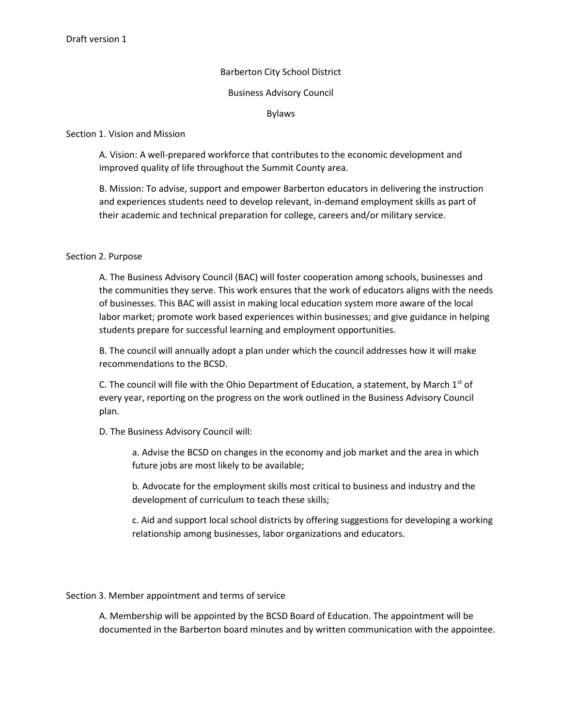# Barberton City School District

## Business Advisory Council

Bylaws

# Section 1. Vision and Mission

A. Vision: A well-prepared workforce that contributes to the economic development and improved quality of life throughout the Summit County area.

B. Mission: To advise, support and empower Barberton educators in delivering the instruction and experiences students need to develop relevant, in-demand employment skills as part of their academic and technical preparation for college, careers and/or military service.

# Section 2. Purpose

A. The Business Advisory Council (BAC) will foster cooperation among schools, businesses and the communities they serve. This work ensures that the work of educators aligns with the needs of businesses. This BAC will assist in making local education system more aware of the local labor market; promote work based experiences within businesses; and give guidance in helping students prepare for successful learning and employment opportunities.

B. The council will annually adopt a plan under which the council addresses how it will make recommendations to the BCSD.

C. The council will file with the Ohio Department of Education, a statement, by March  $1<sup>st</sup>$  of every year, reporting on the progress on the work outlined in the Business Advisory Council plan.

D. The Business Advisory Council will:

a. Advise the BCSD on changes in the economy and job market and the area in which future jobs are most likely to be available;

b. Advocate for the employment skills most critical to business and industry and the development of curriculum to teach these skills;

c. Aid and support local school districts by offering suggestions for developing a working relationship among businesses, labor organizations and educators.

Section 3. Member appointment and terms of service

A. Membership will be appointed by the BCSD Board of Education. The appointment will be documented in the Barberton board minutes and by written communication with the appointee.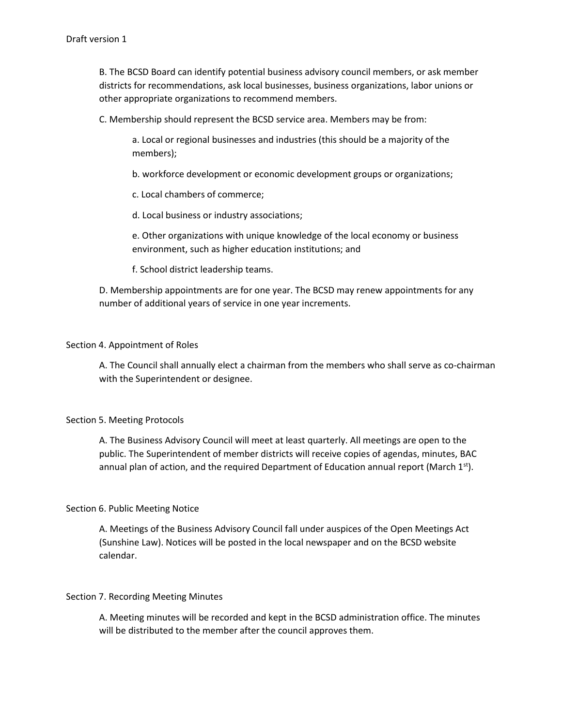B. The BCSD Board can identify potential business advisory council members, or ask member districts for recommendations, ask local businesses, business organizations, labor unions or other appropriate organizations to recommend members.

C. Membership should represent the BCSD service area. Members may be from:

a. Local or regional businesses and industries (this should be a majority of the members);

b. workforce development or economic development groups or organizations;

c. Local chambers of commerce;

d. Local business or industry associations;

e. Other organizations with unique knowledge of the local economy or business environment, such as higher education institutions; and

f. School district leadership teams.

D. Membership appointments are for one year. The BCSD may renew appointments for any number of additional years of service in one year increments.

#### Section 4. Appointment of Roles

A. The Council shall annually elect a chairman from the members who shall serve as co-chairman with the Superintendent or designee.

#### Section 5. Meeting Protocols

A. The Business Advisory Council will meet at least quarterly. All meetings are open to the public. The Superintendent of member districts will receive copies of agendas, minutes, BAC annual plan of action, and the required Department of Education annual report (March  $1<sup>st</sup>$ ).

#### Section 6. Public Meeting Notice

A. Meetings of the Business Advisory Council fall under auspices of the Open Meetings Act (Sunshine Law). Notices will be posted in the local newspaper and on the BCSD website calendar.

#### Section 7. Recording Meeting Minutes

A. Meeting minutes will be recorded and kept in the BCSD administration office. The minutes will be distributed to the member after the council approves them.